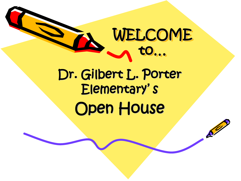

 $\mathcal{S}^{\prime\prime}$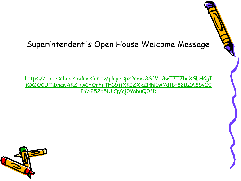#### Superintendent's Open House Welcome Message

https://dadeschools.eduvision.tv/play.aspx?qev=3SfVi13wT7T7brXGLHCgI [jQQOCUTjbhawAKZHwCFOrFrTFG5jjXKIZXkZHhl0AYdtbt82BZAS5vOI](https://dadeschools.eduvision.tv/play.aspx?qev=3SfVi13wT7T7brXGLHCgIjQQOCUTjbhawAKZHwCFOrFrTFG5jjXKIZXkZHhl0AYdtbt82BZAS5vOIIa%252b5ULQyYj0YabuQ0fD) Ia%252b5ULQyYj0YabuQ0fD

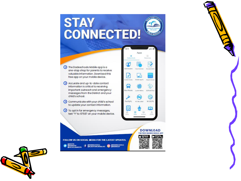### **STAY CONNECTED!**

ne Dadeschools Mobile app is a one-stop shop for parents to receive valuable information. Download this free app on your mobile device.

Accurate and up-to-date contact information is critical to receiving important outreach and emergency messages from the District and your child's school.

Communicate with your child's school to update your contact information.

1 To opt in for emergency messages, text "Y" to 67587 on your mobile device.

FOLLOW US ON SOCIAL MEDIA FOR THE LATEST UPDATES.

**f OMIAMISCHOOLS O SMIAMISCHOOLS** 

**GMDCPS<br>GMIAMISUP<br>GESCUELASMDCPS** 

 $\Omega$  $\bullet$ 7 Add Student Class Scheshau **Excused Adv**  $A^+$ elekt Orades Mobile Agrire Magnet School ಳಿ 8  $(0, 0)$ Bus Route Lunch Menu SCRUB Plus Œ FortifyFL It's No Joke! M-DCPS m

Apps

#### **DOWNLOAD** THE FREE DADESCHOOLS APP

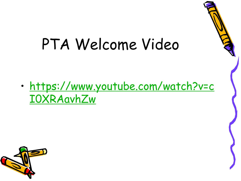## PTA Welcome Video

• [https://www.youtube.com/watch?v=c](https://www.youtube.com/watch?v=cI0XRAavhZw) I0XRAavhZw

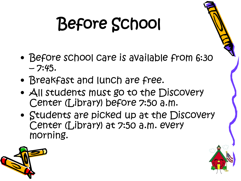# Before School

- Before school care is available from 6:30  $-7:45.$
- Breakfast and lunch are free.
- All students must go to the Discovery Center (Library) before 7:50 a.m.
- Students are picked up at the Discovery Center (Library) at 7:50 a.m. every morning.



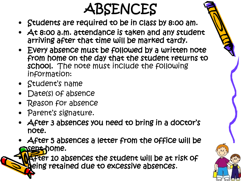### ABSENCES

- Students are required to be in class by 8:00 am.
- At 8:00 a.m. attendance is taken and any student arriving after that time will be marked tardy.
- Every absence must be followed by a written note from home on the day that the student returns to school. The note must include the following information:
- Student's name
- Date(s) of absence
- Reason for absence
- Parent's signature.
- After 3 absences you need to bring in a doctor's note.
- After 5 absences a letter from the office will be sent home.

**After 10 absences the student will be at risk of** being retained due to excessive absences.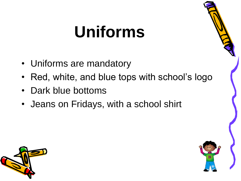# **Uniforms**

- Uniforms are mandatory
- Red, white, and blue tops with school's logo
- Dark blue bottoms
- Jeans on Fridays, with a school shirt



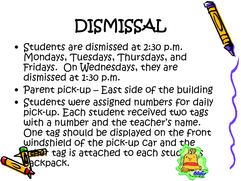# DISMISSAL

- Students are dismissed at 2:30 p.m. Mondays, Tuesdays, Thursdays, and Fridays. On Wednesdays, they are dismissed at 1:30 p.m.
- Parent pick-up East side of the building
- Students were assigned numbers for daily pick-up. Each student received two tags with a number and the teacher's name. One tag should be displayed on the front windshield of the pick-up car and the tag is attached to each stude bckpack.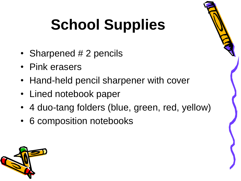# **School Supplies**

- Sharpened # 2 pencils
- Pink erasers
- Hand-held pencil sharpener with cover
- Lined notebook paper
- 4 duo-tang folders (blue, green, red, yellow)
- 6 composition notebooks

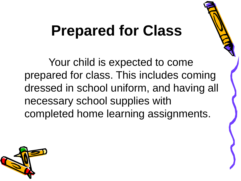## **Prepared for Class**

Your child is expected to come prepared for class. This includes coming dressed in school uniform, and having all necessary school supplies with completed home learning assignments.

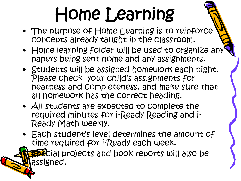# Home Learning

- The purpose of Home Learning is to reinforce concepts already taught in the classroom.
- Home learning folder will be used to organize any papers being sent home and any assignments.
- Students will be assigned homework each night. Please check your child's assignments for neatness and completeness, and make sure that all homework has the correct heading.
- All students are expected to complete the required minutes for i-Ready Reading and i-Ready Math weekly.
- Each student's level determines the amount of time required for i-Ready each week.

pecial projects and book reports will also be assigned.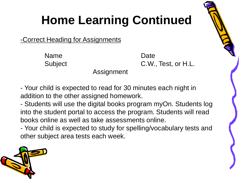### **Home Learning Continued**

-Correct Heading for Assignments

Name Date

Subject C.W., Test, or H.L.

Assignment

- Your child is expected to read for 30 minutes each night in addition to the other assigned homework.

- Students will use the digital books program myOn. Students log into the student portal to access the program. Students will read books online as well as take assessments online.

- Your child is expected to study for spelling/vocabulary tests and other subject area tests each week.

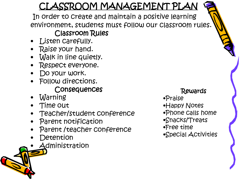#### CLASSROOM MANAGEMENT PLAN

In order to create and maintain a positive learning environment, students must follow our classroom rules.

#### Classroom Rules

- Listen carefully.
- Raise your hand.
- Walk in line quietly.
- Respect everyone.
- Do your work.
- Follow directions. Consequences
- Warning
- Time out
- Teacher/student conference
- Parent notification
- Parent /teacher conference
- **Detention**
- **Administration**

#### Rewards

- •Praise
- •Happy Notes
- •Phone calls home
- •Snacks/Treats
- •Free time
- •Special Activities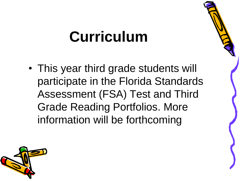## **Curriculum**

• This year third grade students will participate in the Florida Standards Assessment (FSA) Test and Third Grade Reading Portfolios. More information will be forthcoming

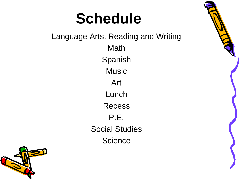### **Schedule**

Language Arts, Reading and Writing Math Spanish **Music** Art Lunch Recess P.E. Social Studies **Science** 

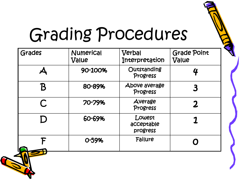

# Grading Procedures

| Grades | Numerical<br>Value | Verbal<br>Interpretation         | <b>Grade Point</b><br>Value |
|--------|--------------------|----------------------------------|-----------------------------|
|        | 90-100%            | Outstanding<br>Progress          | 4                           |
|        | 80-89%             | Above average<br>Progress        |                             |
| C      | 70-79%             | Average<br>Progress              | 2                           |
|        | 60-69%             | Lowest<br>acceptable<br>progress |                             |
|        | 0-59%              | Failure                          |                             |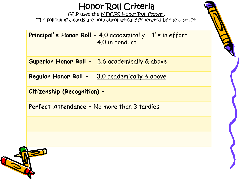#### Honor Roll Criteria

GLP uses the MDCPS Honor Roll System. The following awards are now automatically generated by the district.

**Principal's Honor Roll - 4.0 academically 1's in effort** 4.0 in conduct

**Superior Honor Roll -** 3.6 academically & above

**Regular Honor Roll -** 3.0 academically & above

**Citizenship (Recognition) –**

**Perfect Attendance** – No more than 3 tardies

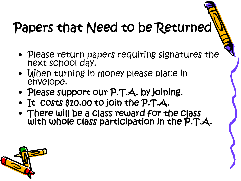### Papers that Need to be Returned

- Please return papers requiring signatures the next school day.
- When turning in money please place in envelope.
- Please support our P.T.A. by joining.
- It costs \$10.00 to join the P.T.A.
- There will be a class reward for the class with whole class participation in the P.T.A.

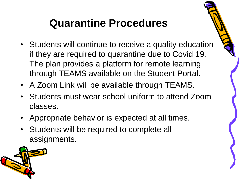### **Quarantine Procedures**

- Students will continue to receive a quality education if they are required to quarantine due to Covid 19. The plan provides a platform for remote learning through TEAMS available on the Student Portal.
- A Zoom Link will be available through TEAMS.
- Students must wear school uniform to attend Zoom classes.
- Appropriate behavior is expected at all times.
- Students will be required to complete all assignments.